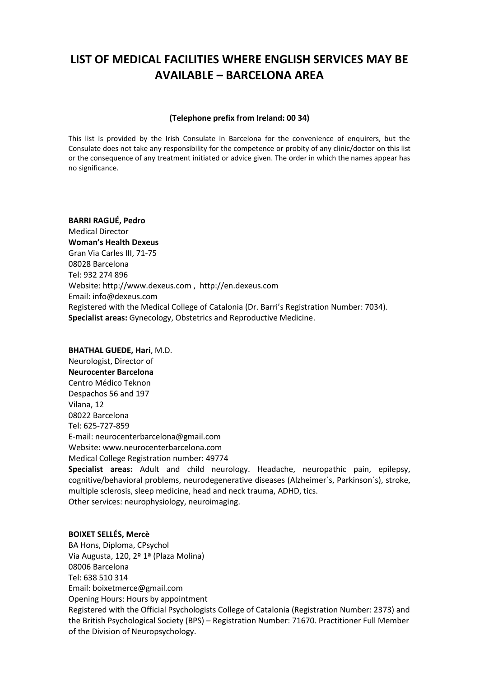# **LIST OF MEDICAL FACILITIES WHERE ENGLISH SERVICES MAY BE AVAILABLE – BARCELONA AREA**

#### **(Telephone prefix from Ireland: 00 34)**

This list is provided by the Irish Consulate in Barcelona for the convenience of enquirers, but the Consulate does not take any responsibility for the competence or probity of any clinic/doctor on this list or the consequence of any treatment initiated or advice given. The order in which the names appear has no significance.

**BARRI RAGUÉ, Pedro** Medical Director **Woman's Health Dexeus** Gran Via Carles III, 71-75 08028 Barcelona Tel: 932 274 896 Website[: http://www.dexeus.com](http://www.dexeus.com/) , [http://en.dexeus.com](http://en.dexeus.com/) Email: [info@dexeus.com](mailto:info@dexeus.com) Registered with the Medical College of Catalonia (Dr. Barri's Registration Number: 7034). **Specialist areas:** Gynecology, Obstetrics and Reproductive Medicine.

#### **BHATHAL GUEDE, Hari**, M.D.

Neurologist, Director of **Neurocenter Barcelona** Centro Médico Teknon Despachos 56 and 197 Vilana, 12 08022 Barcelona Tel: 625-727-859 E-mail: neurocenterbarcelona@gmail.com Website: www.neurocenterbarcelona.com Medical College Registration number: 49774

**Specialist areas:** Adult and child neurology. Headache, neuropathic pain, epilepsy, cognitive/behavioral problems, neurodegenerative diseases (Alzheimer´s, Parkinson´s), stroke, multiple sclerosis, sleep medicine, head and neck trauma, ADHD, tics. Other services: neurophysiology, neuroimaging.

#### **BOIXET SELLÉS, Mercè**

BA Hons, Diploma, CPsychol Via Augusta, 120, 2º 1ª (Plaza Molina) 08006 Barcelona Tel: 638 510 314 Email: [boixetmerce@gmail.com](mailto:boixetmerce@gmail.com) Opening Hours: Hours by appointment Registered with the Official Psychologists College of Catalonia (Registration Number: 2373) and the British Psychological Society (BPS) – Registration Number: 71670. Practitioner Full Member of the Division of Neuropsychology.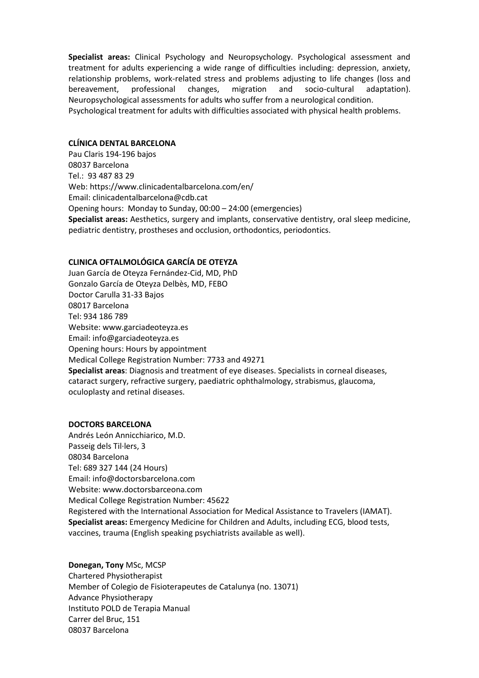**Specialist areas:** Clinical Psychology and Neuropsychology. Psychological assessment and treatment for adults experiencing a wide range of difficulties including: depression, anxiety, relationship problems, work-related stress and problems adjusting to life changes (loss and bereavement, professional changes, migration and socio-cultural adaptation). Neuropsychological assessments for adults who suffer from a neurological condition. Psychological treatment for adults with difficulties associated with physical health problems.

#### **CLÍNICA DENTAL BARCELONA**

Pau Claris 194-196 bajos 08037 Barcelona Tel.: 93 487 83 29 Web: https://www.clinicadentalbarcelona.com/en/ Email: [clinicadentalbarcelona@cdb.cat](mailto:clinicadentalbarcelona@cdb.cat) Opening hours: Monday to Sunday, 00:00 – 24:00 (emergencies) **Specialist areas:** Aesthetics, surgery and implants, conservative dentistry, oral sleep medicine, pediatric dentistry, prostheses and occlusion, orthodontics, periodontics.

#### **CLINICA OFTALMOLÓGICA GARCÍA DE OTEYZA**

Juan García de Oteyza Fernández-Cid, MD, PhD Gonzalo García de Oteyza Delbès, MD, FEBO Doctor Carulla 31-33 Bajos 08017 Barcelona Tel: 934 186 789 Website[: www.garciadeoteyza.es](http://www.garciadeoteyza.es/) Email: [info@garciadeoteyza.es](mailto:info@garciadeoteyza.es) Opening hours: Hours by appointment Medical College Registration Number: 7733 and 49271 **Specialist areas**: Diagnosis and treatment of eye diseases. Specialists in corneal diseases, cataract surgery, refractive surgery, paediatric ophthalmology, strabismus, glaucoma, oculoplasty and retinal diseases.

#### **DOCTORS BARCELONA**

Andrés León Annicchiarico, M.D. Passeig dels Til·lers, 3 08034 Barcelona Tel: 689 327 144 (24 Hours) Email: [info@doctorsbarcelona.com](mailto:info@doctorsbarcelona.com) Website[: www.doctorsbarceona.com](http://www.doctorsbarceona.com/) Medical College Registration Number: 45622 Registered with the International Association for Medical Assistance to Travelers (IAMAT). **Specialist areas:** Emergency Medicine for Children and Adults, including ECG, blood tests, vaccines, trauma (English speaking psychiatrists available as well).

# **Donegan, Tony** MSc, MCSP Chartered Physiotherapist Member of Colegio de Fisioterapeutes de Catalunya (no. 13071) Advance Physiotherapy Instituto POLD de Terapia Manual Carrer del Bruc, 151 08037 Barcelona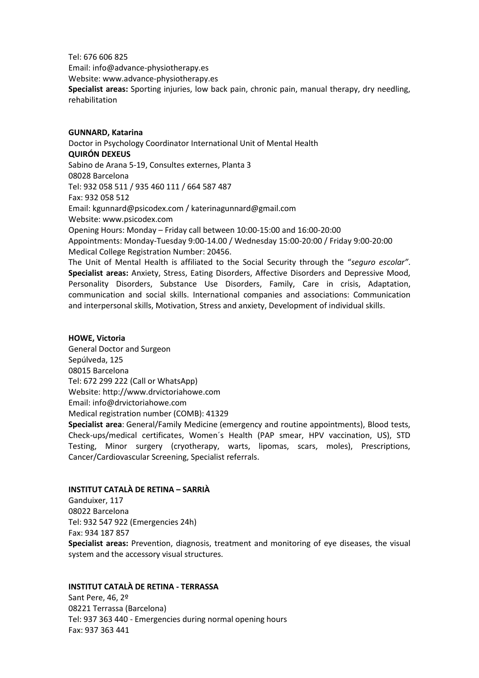Tel: 676 606 825 Email: [info@advance-physiotherapy.es](mailto:info@advance-physiotherapy.es) Website[: www.advance-physiotherapy.es](http://www.advance-physiotherapy.es/) **Specialist areas:** Sporting injuries, low back pain, chronic pain, manual therapy, dry needling, rehabilitation

#### **GUNNARD, Katarina**

Doctor in Psychology Coordinator International Unit of Mental Health **QUIRÓN DEXEUS** Sabino de Arana 5-19, Consultes externes, Planta 3 08028 Barcelona Tel: 932 058 511 / 935 460 111 / 664 587 487 Fax: 932 058 512 Email: kgunnard@psicodex.com [/ katerinagunnard@gmail.com](mailto:katerinagunnard@gmail.com) Website[: www.psicodex.com](http://www.psicodex.com/) Opening Hours: Monday – Friday call between 10:00-15:00 and 16:00-20:00 Appointments: Monday-Tuesday 9:00-14.00 / Wednesday 15:00-20:00 / Friday 9:00-20:00 Medical College Registration Number: 20456. The Unit of Mental Health is affiliated to the Social Security through the "*seguro escolar"*.

**Specialist areas:** Anxiety, Stress, Eating Disorders, Affective Disorders and Depressive Mood, Personality Disorders, Substance Use Disorders, Family, Care in crisis, Adaptation, communication and social skills. International companies and associations: Communication and interpersonal skills, Motivation, Stress and anxiety, Development of individual skills.

# **HOWE, Victoria**

General Doctor and Surgeon [Sepúlveda,](https://maps.google.com/?q=Calle+Sepulveda+125,+08015+Barcelona&entry=gmail&source=g) 125 [08015 Barcelona](https://maps.google.com/?q=Calle+Sepulveda+125,+08015+Barcelona&entry=gmail&source=g) Tel: [672 299 222](tel:+34%20672%2029%2092%2022) (Call or WhatsApp) Website: [http://www.drvictoriahowe.com](http://www.drvictoriahowe.com/) Email: [info@drvictoriahowe.com](mailto:info@drvictoriahowe.com) Medical registration number (COMB): 41329

**Specialist area**: General/Family Medicine (emergency and routine appointments), Blood tests, Check-ups/medical certificates, Women´s Health (PAP smear, HPV vaccination, US), STD Testing, Minor surgery (cryotherapy, warts, lipomas, scars, moles), Prescriptions, Cancer/Cardiovascular Screening, Specialist referrals.

# **INSTITUT CATALÀ DE RETINA – SARRIÀ**

Ganduixer, 117 08022 Barcelona Tel: 932 547 922 (Emergencies 24h) Fax: 934 187 857

**Specialist areas:** Prevention, diagnosis, treatment and monitoring of eye diseases, the visual system and the accessory visual structures.

#### **INSTITUT CATALÀ DE RETINA - TERRASSA**

Sant Pere, 46, 2º 08221 Terrassa (Barcelona) Tel: 937 363 440 - Emergencies during normal opening hours Fax: 937 363 441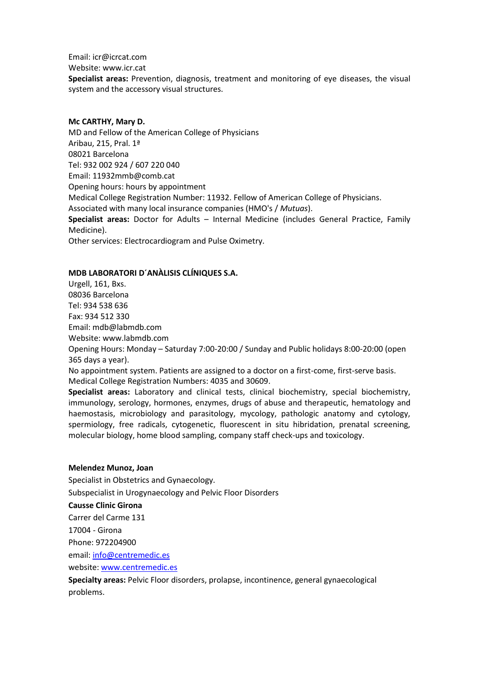Email: [icr@icrcat.com](mailto:icr@icrcat.com)

Website[: www.icr.cat](http://www.icr.cat/)

**Specialist areas:** Prevention, diagnosis, treatment and monitoring of eye diseases, the visual system and the accessory visual structures.

# **Mc CARTHY, Mary D.**

MD and Fellow of the American College of Physicians Aribau, 215, Pral. 1ª 08021 Barcelona Tel: 932 002 924 / 607 220 040 Email: [11932mmb@comb.cat](mailto:11932mmb@comb.cat) Opening hours: hours by appointment Medical College Registration Number: 11932. Fellow of American College of Physicians. Associated with many local insurance companies (HMO's / *Mutuas*). **Specialist areas:** Doctor for Adults – Internal Medicine (includes General Practice, Family Medicine). Other services: Electrocardiogram and Pulse Oximetry.

# **MDB LABORATORI D´ANÀLISIS CLÍNIQUES S.A.**

Urgell, 161, Bxs. 08036 Barcelona Tel: 934 538 636 Fax: 934 512 330 Email: [mdb@labmdb.com](mailto:mdb@labmdb.com) Website[: www.labmdb.com](http://www.labmdb.com/) Opening Hours: Monday – Saturday 7:00-20:00 / Sunday and Public holidays 8:00-20:00 (open 365 days a year). No appointment system. Patients are assigned to a doctor on a first-come, first-serve basis. Medical College Registration Numbers: 4035 and 30609. **Specialist areas:** Laboratory and clinical tests, clinical biochemistry, special biochemistry, immunology, serology, hormones, enzymes, drugs of abuse and therapeutic, hematology and

haemostasis, microbiology and parasitology, mycology, pathologic anatomy and cytology, spermiology, free radicals, cytogenetic, fluorescent in situ hibridation, prenatal screening, molecular biology, home blood sampling, company staff check-ups and toxicology.

#### **Melendez Munoz, Joan**

Specialist in Obstetrics and Gynaecology.

Subspecialist in Urogynaecology and Pelvic Floor Disorders

#### **Causse Clinic Girona**

Carrer del Carme 131

17004 - Girona

Phone: 972204900

email: [info@centremedic.es](mailto:info@centremedic.es)

website[: www.centremedic.es](http://www.centremedic.es/)

**Specialty areas:** Pelvic Floor disorders, prolapse, incontinence, general gynaecological problems.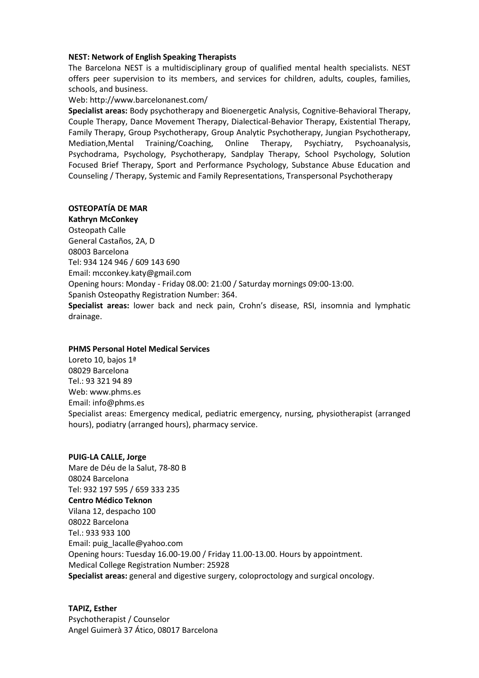#### **NEST: Network of English Speaking Therapists**

The Barcelona NEST is a multidisciplinary group of qualified mental health specialists. NEST offers peer supervision to its members, and services for children, adults, couples, families, schools, and business.

#### Web[: http://www.barcelonanest.com/](http://www.barcelonanest.com/)

**Specialist areas:** Body psychotherapy and Bioenergetic Analysis, Cognitive-Behavioral Therapy, Couple Therapy, Dance Movement Therapy, Dialectical-Behavior Therapy, Existential Therapy, Family Therapy, Group Psychotherapy, Group Analytic Psychotherapy, Jungian Psychotherapy, Mediation,Mental Training/Coaching, Online Therapy, Psychiatry, Psychoanalysis, Psychodrama, Psychology, Psychotherapy, Sandplay Therapy, School Psychology, Solution Focused Brief Therapy, Sport and Performance Psychology, Substance Abuse Education and Counseling / Therapy, Systemic and Family Representations, Transpersonal Psychotherapy

# **OSTEOPATÍA DE MAR**

**Kathryn McConkey** Osteopath Calle General Castaños, 2A, D 08003 Barcelona Tel: 934 124 946 / 609 143 690 Email: [mcconkey.katy@gmail.com](mailto:mcconkey.katy@gmail.com) Opening hours: Monday - Friday 08.00: 21:00 / Saturday mornings 09:00-13:00. Spanish Osteopathy Registration Number: 364. **Specialist areas:** lower back and neck pain, Crohn's disease, RSI, insomnia and lymphatic drainage.

# **PHMS Personal Hotel Medical Services**

Loreto 10, bajos 1ª 08029 Barcelona Tel.: 93 321 94 89 Web[: www.phms.es](http://www.phms.es/) Email: [info@phms.es](mailto:info@phms.es) Specialist areas: Emergency medical, pediatric emergency, nursing, physiotherapist (arranged hours), podiatry (arranged hours), pharmacy service.

# **PUIG-LA CALLE, Jorge** Mare de Déu de la Salut, 78-80 B 08024 Barcelona Tel: 932 197 595 / 659 333 235 **Centro Médico Teknon** Vilana 12, despacho 100 08022 Barcelona Tel.: 933 933 100 Email: [puig\\_lacalle@yahoo.com](mailto:puig_lacalle@yahoo.com) Opening hours: Tuesday 16.00-19.00 / Friday 11.00-13.00. Hours by appointment. Medical College Registration Number: 25928 **Specialist areas:** general and digestive surgery, coloproctology and surgical oncology.

**TAPIZ, Esther** Psychotherapist / Counselor Angel Guimerà 37 Ático, 08017 Barcelona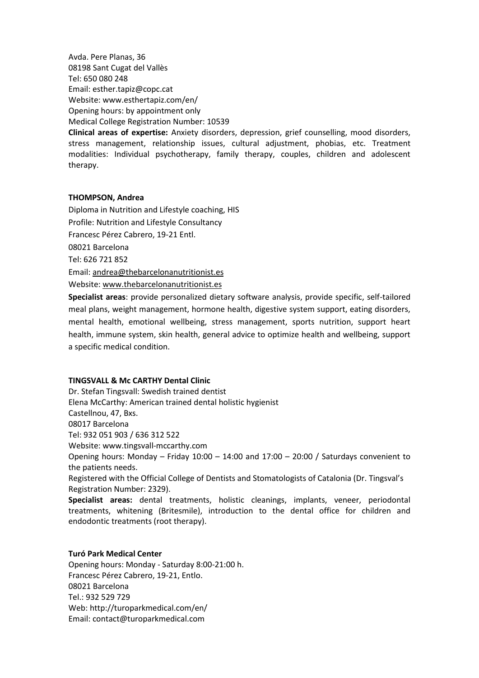Avda. Pere Planas, 36 08198 Sant Cugat del Vallès Tel: 650 080 248 Email: [esther.tapiz@copc.cat](mailto:esther.tapiz@copc.cat) Website[: www.esthertapiz.com/en/](http://www.esthertapiz.com/en/) Opening hours: by appointment only Medical College Registration Number: 10539

**Clinical areas of expertise:** Anxiety disorders, depression, grief counselling, mood disorders, stress management, relationship issues, cultural adjustment, phobias, etc. Treatment modalities: Individual psychotherapy, family therapy, couples, children and adolescent therapy.

#### **THOMPSON, Andrea**

Diploma in Nutrition and Lifestyle coaching, HIS Profile: Nutrition and Lifestyle Consultancy Francesc Pérez Cabrero, 19-21 Entl. 08021 Barcelona Tel: 626 721 852 Email: [andrea@thebarcelonanutritionist.es](mailto:andrea@thebarcelonanutritionist.es) Website[: www.thebarcelonanutritionist.es](http://www.thebarcelonanutritionist.es/)

**Specialist areas**: provide personalized dietary software analysis, provide specific, self-tailored meal plans, weight management, hormone health, digestive system support, eating disorders, mental health, emotional wellbeing, stress management, sports nutrition, support heart health, immune system, skin health, general advice to optimize health and wellbeing, support a specific medical condition.

#### **TINGSVALL & Mc CARTHY Dental Clinic**

Dr. Stefan Tingsvall: Swedish trained dentist Elena McCarthy: American trained dental holistic hygienist Castellnou, 47, Bxs. 08017 Barcelona Tel: 932 051 903 / 636 312 522 Website[: www.tingsvall-mccarthy.com](http://www.tingsvall-mccarthy.com/) Opening hours: Monday – Friday 10:00 – 14:00 and 17:00 – 20:00 / Saturdays convenient to the patients needs. Registered with the Official College of Dentists and Stomatologists of Catalonia (Dr. Tingsval's Registration Number: 2329).

**Specialist areas:** dental treatments, holistic cleanings, implants, veneer, periodontal treatments, whitening (Britesmile), introduction to the dental office for children and endodontic treatments (root therapy).

# **Turó Park Medical Center**

Opening hours: Monday - Saturday 8:00-21:00 h. Francesc Pérez Cabrero, 19-21, Entlo. 08021 Barcelona Tel.: 932 529 729 Web: http://turoparkmedical.com/en/ Email: [contact@turoparkmedical.com](mailto:contact@turoparkmedical.com)